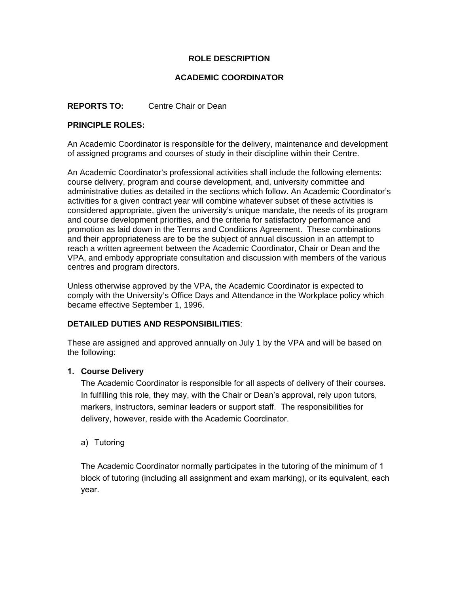# **ROLE DESCRIPTION**

### **ACADEMIC COORDINATOR**

### **REPORTS TO:** Centre Chair or Dean

#### **PRINCIPLE ROLES:**

An Academic Coordinator is responsible for the delivery, maintenance and development of assigned programs and courses of study in their discipline within their Centre.

An Academic Coordinator's professional activities shall include the following elements: course delivery, program and course development, and, university committee and administrative duties as detailed in the sections which follow. An Academic Coordinator's activities for a given contract year will combine whatever subset of these activities is considered appropriate, given the university's unique mandate, the needs of its program and course development priorities, and the criteria for satisfactory performance and promotion as laid down in the Terms and Conditions Agreement. These combinations and their appropriateness are to be the subject of annual discussion in an attempt to reach a written agreement between the Academic Coordinator, Chair or Dean and the VPA, and embody appropriate consultation and discussion with members of the various centres and program directors.

Unless otherwise approved by the VPA, the Academic Coordinator is expected to comply with the University's Office Days and Attendance in the Workplace policy which became effective September 1, 1996.

#### **DETAILED DUTIES AND RESPONSIBILITIES**:

These are assigned and approved annually on July 1 by the VPA and will be based on the following:

#### **1. Course Delivery**

The Academic Coordinator is responsible for all aspects of delivery of their courses. In fulfilling this role, they may, with the Chair or Dean's approval, rely upon tutors, markers, instructors, seminar leaders or support staff. The responsibilities for delivery, however, reside with the Academic Coordinator.

#### a) Tutoring

The Academic Coordinator normally participates in the tutoring of the minimum of 1 block of tutoring (including all assignment and exam marking), or its equivalent, each year.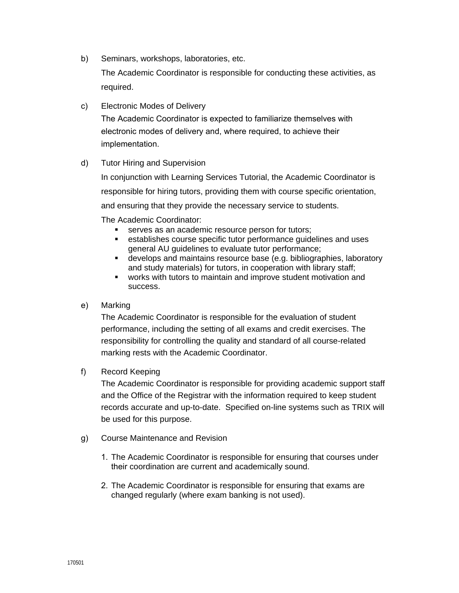b) Seminars, workshops, laboratories, etc.

The Academic Coordinator is responsible for conducting these activities, as required.

c) Electronic Modes of Delivery

The Academic Coordinator is expected to familiarize themselves with electronic modes of delivery and, where required, to achieve their implementation.

## d) Tutor Hiring and Supervision

In conjunction with Learning Services Tutorial, the Academic Coordinator is responsible for hiring tutors, providing them with course specific orientation, and ensuring that they provide the necessary service to students.

The Academic Coordinator:

- serves as an academic resource person for tutors;
- establishes course specific tutor performance guidelines and uses general AU guidelines to evaluate tutor performance;
- **develops and maintains resource base (e.g. bibliographies, laboratory** and study materials) for tutors, in cooperation with library staff;
- works with tutors to maintain and improve student motivation and success.
- e) Marking

The Academic Coordinator is responsible for the evaluation of student performance, including the setting of all exams and credit exercises. The responsibility for controlling the quality and standard of all course-related marking rests with the Academic Coordinator.

f) Record Keeping

The Academic Coordinator is responsible for providing academic support staff and the Office of the Registrar with the information required to keep student records accurate and up-to-date. Specified on-line systems such as TRIX will be used for this purpose.

- g) Course Maintenance and Revision
	- 1. The Academic Coordinator is responsible for ensuring that courses under their coordination are current and academically sound.
	- 2. The Academic Coordinator is responsible for ensuring that exams are changed regularly (where exam banking is not used).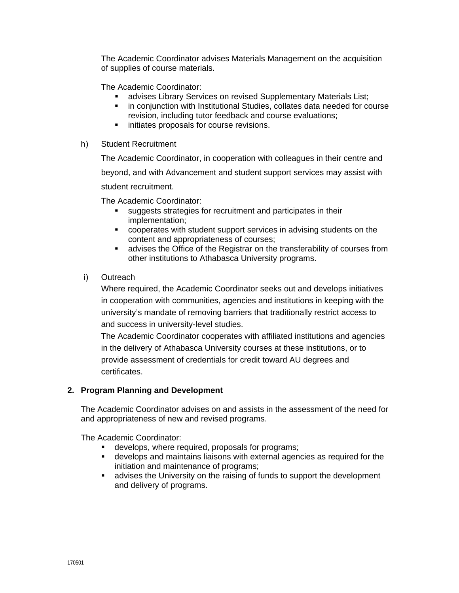The Academic Coordinator advises Materials Management on the acquisition of supplies of course materials.

The Academic Coordinator:

- **advises Library Services on revised Supplementary Materials List;**
- **F** in conjunction with Institutional Studies, collates data needed for course revision, including tutor feedback and course evaluations;
- **IF** initiates proposals for course revisions.
- h) Student Recruitment

The Academic Coordinator, in cooperation with colleagues in their centre and beyond, and with Advancement and student support services may assist with student recruitment.

The Academic Coordinator:

- suggests strategies for recruitment and participates in their implementation;
- cooperates with student support services in advising students on the content and appropriateness of courses;
- advises the Office of the Registrar on the transferability of courses from other institutions to Athabasca University programs.
- i) Outreach

Where required, the Academic Coordinator seeks out and develops initiatives in cooperation with communities, agencies and institutions in keeping with the university's mandate of removing barriers that traditionally restrict access to and success in university-level studies.

The Academic Coordinator cooperates with affiliated institutions and agencies in the delivery of Athabasca University courses at these institutions, or to provide assessment of credentials for credit toward AU degrees and certificates.

## **2. Program Planning and Development**

The Academic Coordinator advises on and assists in the assessment of the need for and appropriateness of new and revised programs.

The Academic Coordinator:

- develops, where required, proposals for programs;
- develops and maintains liaisons with external agencies as required for the initiation and maintenance of programs;
- advises the University on the raising of funds to support the development and delivery of programs.